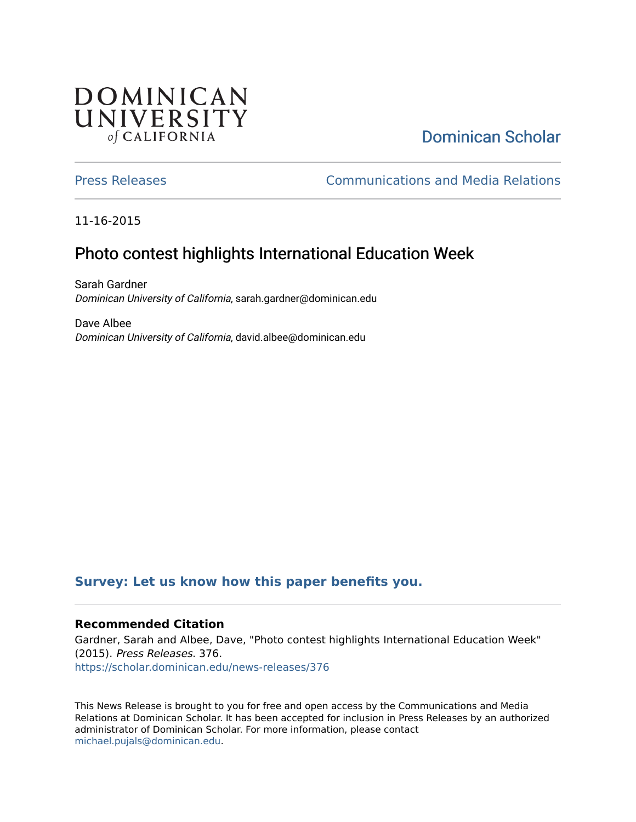## **DOMINICAN** UNIVERSITY of CALIFORNIA

# [Dominican Scholar](https://scholar.dominican.edu/)

[Press Releases](https://scholar.dominican.edu/news-releases) [Communications and Media Relations](https://scholar.dominican.edu/communications-media) 

11-16-2015

## Photo contest highlights International Education Week

Sarah Gardner Dominican University of California, sarah.gardner@dominican.edu

Dave Albee Dominican University of California, david.albee@dominican.edu

#### **[Survey: Let us know how this paper benefits you.](https://dominican.libwizard.com/dominican-scholar-feedback)**

#### **Recommended Citation**

Gardner, Sarah and Albee, Dave, "Photo contest highlights International Education Week" (2015). Press Releases. 376. [https://scholar.dominican.edu/news-releases/376](https://scholar.dominican.edu/news-releases/376?utm_source=scholar.dominican.edu%2Fnews-releases%2F376&utm_medium=PDF&utm_campaign=PDFCoverPages)

This News Release is brought to you for free and open access by the Communications and Media Relations at Dominican Scholar. It has been accepted for inclusion in Press Releases by an authorized administrator of Dominican Scholar. For more information, please contact [michael.pujals@dominican.edu.](mailto:michael.pujals@dominican.edu)